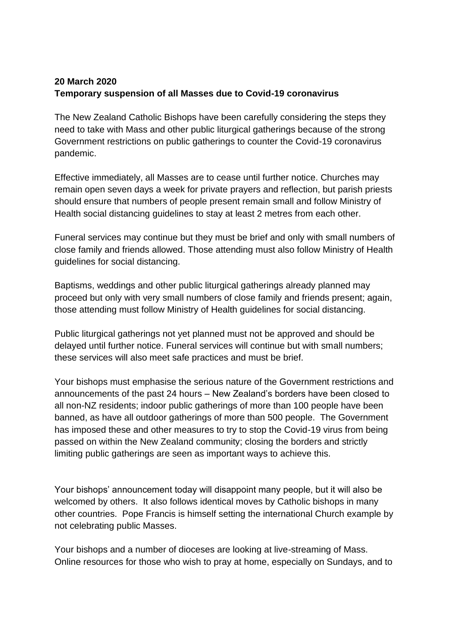## **20 March 2020 Temporary suspension of all Masses due to Covid-19 coronavirus**

The New Zealand Catholic Bishops have been carefully considering the steps they need to take with Mass and other public liturgical gatherings because of the strong Government restrictions on public gatherings to counter the Covid-19 coronavirus pandemic.

Effective immediately, all Masses are to cease until further notice. Churches may remain open seven days a week for private prayers and reflection, but parish priests should ensure that numbers of people present remain small and follow Ministry of Health social distancing guidelines to stay at least 2 metres from each other.

Funeral services may continue but they must be brief and only with small numbers of close family and friends allowed. Those attending must also follow Ministry of Health guidelines for social distancing.

Baptisms, weddings and other public liturgical gatherings already planned may proceed but only with very small numbers of close family and friends present; again, those attending must follow Ministry of Health guidelines for social distancing.

Public liturgical gatherings not yet planned must not be approved and should be delayed until further notice. Funeral services will continue but with small numbers; these services will also meet safe practices and must be brief.

Your bishops must emphasise the serious nature of the Government restrictions and announcements of the past 24 hours – New Zealand's borders have been closed to all non-NZ residents; indoor public gatherings of more than 100 people have been banned, as have all outdoor gatherings of more than 500 people. The Government has imposed these and other measures to try to stop the Covid-19 virus from being passed on within the New Zealand community; closing the borders and strictly limiting public gatherings are seen as important ways to achieve this.

Your bishops' announcement today will disappoint many people, but it will also be welcomed by others. It also follows identical moves by Catholic bishops in many other countries. Pope Francis is himself setting the international Church example by not celebrating public Masses.

Your bishops and a number of dioceses are looking at live-streaming of Mass. Online resources for those who wish to pray at home, especially on Sundays, and to